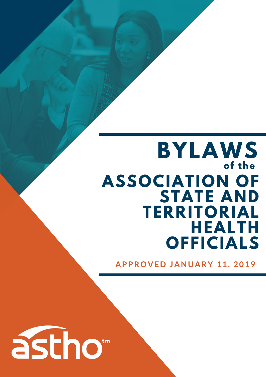# **ASSOCIATION OF STATE AND TERRITORIAL HEALTH OFFICIALS BYLAWS of the**

**A P P R O V E D J A N U A R Y 1 1 , 2 0 1 9**

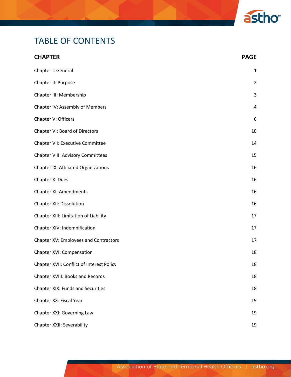

# TABLE OF CONTENTS

| <b>CHAPTER</b>                            | <b>PAGE</b>             |
|-------------------------------------------|-------------------------|
| Chapter I: General                        | $\mathbf{1}$            |
| Chapter II: Purpose                       | $\overline{2}$          |
| Chapter III: Membership                   | 3                       |
| Chapter IV: Assembly of Members           | $\overline{\mathbf{4}}$ |
| Chapter V: Officers                       | 6                       |
| Chapter VI: Board of Directors            | 10                      |
| Chapter VII: Executive Committee          | 14                      |
| <b>Chapter VIII: Advisory Committees</b>  | 15                      |
| Chapter IX: Affiliated Organizations      | 16                      |
| Chapter X: Dues                           | 16                      |
| Chapter XI: Amendments                    | 16                      |
| <b>Chapter XII: Dissolution</b>           | 16                      |
| Chapter XIII: Limitation of Liability     | 17                      |
| Chapter XIV: Indemnification              | 17                      |
| Chapter XV: Employees and Contractors     | 17                      |
| Chapter XVI: Compensation                 | 18                      |
| Chapter XVII: Conflict of Interest Policy | 18                      |
| Chapter XVIII: Books and Records          | 18                      |
| <b>Chapter XIX: Funds and Securities</b>  | 18                      |
| Chapter XX: Fiscal Year                   | 19                      |
| Chapter XXI: Governing Law                | 19                      |
| Chapter XXII: Severability                | 19                      |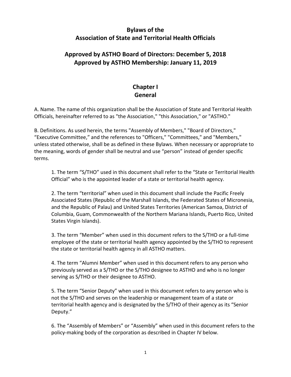#### **Bylaws of the Association of State and Territorial Health Officials**

## **Approved by ASTHO Board of Directors: December 5, 2018 Approved by ASTHO Membership: January 11, 2019**

# **Chapter I General**

A. Name. The name of this organization shall be the Association of State and Territorial Health Officials, hereinafter referred to as "the Association," "this Association," or "ASTHO."

B. Definitions. As used herein, the terms "Assembly of Members," "Board of Directors," "Executive Committee," and the references to "Officers," "Committees," and "Members," unless stated otherwise, shall be as defined in these Bylaws. When necessary or appropriate to the meaning, words of gender shall be neutral and use "person" instead of gender specific terms.

1. The term "S/THO" used in this document shall refer to the "State or Territorial Health Official" who is the appointed leader of a state or territorial health agency.

2. The term "territorial" when used in this document shall include the Pacific Freely Associated States (Republic of the Marshall Islands, the Federated States of Micronesia, and the Republic of Palau) and United States Territories (American Samoa, District of Columbia, Guam, Commonwealth of the Northern Mariana Islands, Puerto Rico, United States Virgin Islands).

3. The term "Member" when used in this document refers to the S/THO or a full-time employee of the state or territorial health agency appointed by the S/THO to represent the state or territorial health agency in all ASTHO matters.

4. The term "Alumni Member" when used in this document refers to any person who previously served as a S/THO or the S/THO designee to ASTHO and who is no longer serving as S/THO or their designee to ASTHO.

5. The term "Senior Deputy" when used in this document refers to any person who is not the S/THO and serves on the leadership or management team of a state or territorial health agency and is designated by the S/THO of their agency as its "Senior Deputy."

6. The "Assembly of Members" or "Assembly" when used in this document refers to the policy-making body of the corporation as described in Chapter IV below.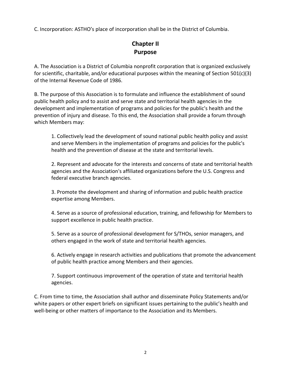C. Incorporation: ASTHO's place of incorporation shall be in the District of Columbia.

## **Chapter II Purpose**

A. The Association is a District of Columbia nonprofit corporation that is organized exclusively for scientific, charitable, and/or educational purposes within the meaning of Section 501(c)(3) of the Internal Revenue Code of 1986.

B. The purpose of this Association is to formulate and influence the establishment of sound public health policy and to assist and serve state and territorial health agencies in the development and implementation of programs and policies for the public's health and the prevention of injury and disease. To this end, the Association shall provide a forum through which Members may:

1. Collectively lead the development of sound national public health policy and assist and serve Members in the implementation of programs and policies for the public's health and the prevention of disease at the state and territorial levels.

2. Represent and advocate for the interests and concerns of state and territorial health agencies and the Association's affiliated organizations before the U.S. Congress and federal executive branch agencies.

3. Promote the development and sharing of information and public health practice expertise among Members.

4. Serve as a source of professional education, training, and fellowship for Members to support excellence in public health practice.

5. Serve as a source of professional development for S/THOs, senior managers, and others engaged in the work of state and territorial health agencies.

6. Actively engage in research activities and publications that promote the advancement of public health practice among Members and their agencies.

7. Support continuous improvement of the operation of state and territorial health agencies.

C. From time to time, the Association shall author and disseminate Policy Statements and/or white papers or other expert briefs on significant issues pertaining to the public's health and well-being or other matters of importance to the Association and its Members.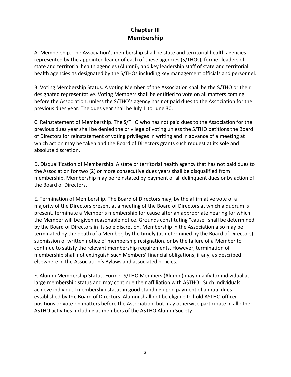#### **Chapter III Membership**

A. Membership. The Association's membership shall be state and territorial health agencies represented by the appointed leader of each of these agencies (S/THOs), former leaders of state and territorial health agencies (Alumni), and key leadership staff of state and territorial health agencies as designated by the S/THOs including key management officials and personnel.

B. Voting Membership Status. A voting Member of the Association shall be the S/THO or their designated representative. Voting Members shall be entitled to vote on all matters coming before the Association, unless the S/THO's agency has not paid dues to the Association for the previous dues year. The dues year shall be July 1 to June 30.

C. Reinstatement of Membership. The S/THO who has not paid dues to the Association for the previous dues year shall be denied the privilege of voting unless the S/THO petitions the Board of Directors for reinstatement of voting privileges in writing and in advance of a meeting at which action may be taken and the Board of Directors grants such request at its sole and absolute discretion.

D. Disqualification of Membership. A state or territorial health agency that has not paid dues to the Association for two (2) or more consecutive dues years shall be disqualified from membership. Membership may be reinstated by payment of all delinquent dues or by action of the Board of Directors.

E. Termination of Membership. The Board of Directors may, by the affirmative vote of a majority of the Directors present at a meeting of the Board of Directors at which a quorum is present, terminate a Member's membership for cause after an appropriate hearing for which the Member will be given reasonable notice. Grounds constituting "cause" shall be determined by the Board of Directors in its sole discretion. Membership in the Association also may be terminated by the death of a Member, by the timely (as determined by the Board of Directors) submission of written notice of membership resignation, or by the failure of a Member to continue to satisfy the relevant membership requirements. However, termination of membership shall not extinguish such Members' financial obligations, if any, as described elsewhere in the Association's Bylaws and associated policies.

F. Alumni Membership Status. Former S/THO Members (Alumni) may qualify for individual atlarge membership status and may continue their affiliation with ASTHO. Such individuals achieve individual membership status in good standing upon payment of annual dues established by the Board of Directors. Alumni shall not be eligible to hold ASTHO officer positions or vote on matters before the Association, but may otherwise participate in all other ASTHO activities including as members of the ASTHO Alumni Society.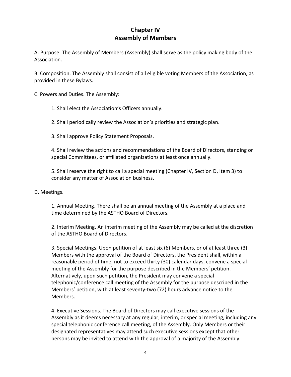#### **Chapter IV Assembly of Members**

A. Purpose. The Assembly of Members (Assembly) shall serve as the policy making body of the Association.

B. Composition. The Assembly shall consist of all eligible voting Members of the Association, as provided in these Bylaws.

C. Powers and Duties. The Assembly:

1. Shall elect the Association's Officers annually.

2. Shall periodically review the Association's priorities and strategic plan.

3. Shall approve Policy Statement Proposals.

4. Shall review the actions and recommendations of the Board of Directors, standing or special Committees, or affiliated organizations at least once annually.

5. Shall reserve the right to call a special meeting (Chapter IV, Section D, Item 3) to consider any matter of Association business.

#### D. Meetings.

1. Annual Meeting. There shall be an annual meeting of the Assembly at a place and time determined by the ASTHO Board of Directors.

2. Interim Meeting. An interim meeting of the Assembly may be called at the discretion of the ASTHO Board of Directors.

3. Special Meetings. Upon petition of at least six (6) Members, or of at least three (3) Members with the approval of the Board of Directors, the President shall, within a reasonable period of time, not to exceed thirty (30) calendar days, convene a special meeting of the Assembly for the purpose described in the Members' petition. Alternatively, upon such petition, the President may convene a special telephonic/conference call meeting of the Assembly for the purpose described in the Members' petition, with at least seventy-two (72) hours advance notice to the Members.

4. Executive Sessions. The Board of Directors may call executive sessions of the Assembly as it deems necessary at any regular, interim, or special meeting, including any special telephonic conference call meeting, of the Assembly. Only Members or their designated representatives may attend such executive sessions except that other persons may be invited to attend with the approval of a majority of the Assembly.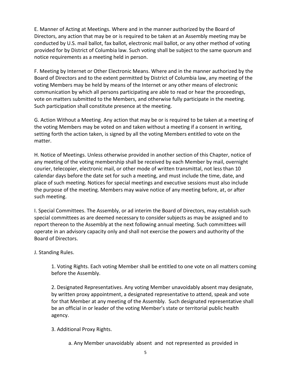E. Manner of Acting at Meetings. Where and in the manner authorized by the Board of Directors, any action that may be or is required to be taken at an Assembly meeting may be conducted by U.S. mail ballot, fax ballot, electronic mail ballot, or any other method of voting provided for by District of Columbia law. Such voting shall be subject to the same quorum and notice requirements as a meeting held in person.

F. Meeting by Internet or Other Electronic Means. Where and in the manner authorized by the Board of Directors and to the extent permitted by District of Columbia law, any meeting of the voting Members may be held by means of the Internet or any other means of electronic communication by which all persons participating are able to read or hear the proceedings, vote on matters submitted to the Members, and otherwise fully participate in the meeting. Such participation shall constitute presence at the meeting.

G. Action Without a Meeting. Any action that may be or is required to be taken at a meeting of the voting Members may be voted on and taken without a meeting if a consent in writing, setting forth the action taken, is signed by all the voting Members entitled to vote on the matter.

H. Notice of Meetings. Unless otherwise provided in another section of this Chapter, notice of any meeting of the voting membership shall be received by each Member by mail, overnight courier, telecopier, electronic mail, or other mode of written transmittal, not less than 10 calendar days before the date set for such a meeting, and must include the time, date, and place of such meeting. Notices for special meetings and executive sessions must also include the purpose of the meeting. Members may waive notice of any meeting before, at, or after such meeting.

I. Special Committees. The Assembly, or ad interim the Board of Directors, may establish such special committees as are deemed necessary to consider subjects as may be assigned and to report thereon to the Assembly at the next following annual meeting. Such committees will operate in an advisory capacity only and shall not exercise the powers and authority of the Board of Directors.

#### J. Standing Rules.

1. Voting Rights. Each voting Member shall be entitled to one vote on all matters coming before the Assembly.

2. Designated Representatives. Any voting Member unavoidably absent may designate, by written proxy appointment, a designated representative to attend, speak and vote for that Member at any meeting of the Assembly. Such designated representative shall be an official in or leader of the voting Member's state or territorial public health agency.

3. Additional Proxy Rights.

a. Any Member unavoidably absent and not represented as provided in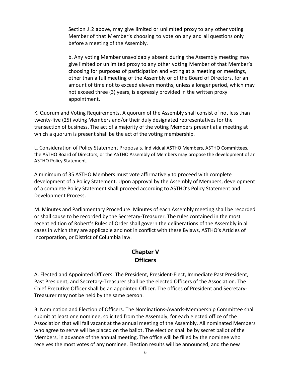Section J.2 above, may give limited or unlimited proxy to any other voting Member of that Member's choosing to vote on any and all questions only before a meeting of the Assembly.

b. Any voting Member unavoidably absent during the Assembly meeting may give limited or unlimited proxy to any other voting Member of that Member's choosing for purposes of participation and voting at a meeting or meetings, other than a full meeting of the Assembly or of the Board of Directors, for an amount of time not to exceed eleven months, unless a longer period, which may not exceed three (3) years, is expressly provided in the written proxy appointment.

K. Quorum and Voting Requirements. A quorum of the Assembly shall consist of not less than twenty-five (25) voting Members and/or their duly designated representatives for the transaction of business. The act of a majority of the voting Members present at a meeting at which a quorum is present shall be the act of the voting membership.

L. Consideration of Policy Statement Proposals. Individual ASTHO Members, ASTHO Committees, the ASTHO Board of Directors, or the ASTHO Assembly of Members may propose the development of an ASTHO Policy Statement.

A minimum of 35 ASTHO Members must vote affirmatively to proceed with complete development of a Policy Statement. Upon approval by the Assembly of Members, development of a complete Policy Statement shall proceed according to ASTHO's Policy Statement and Development Process.

M. Minutes and Parliamentary Procedure. Minutes of each Assembly meeting shall be recorded or shall cause to be recorded by the Secretary-Treasurer. The rules contained in the most recent edition of Robert's Rules of Order shall govern the deliberations of the Assembly in all cases in which they are applicable and not in conflict with these Bylaws, ASTHO's Articles of Incorporation, or District of Columbia law.

#### **Chapter V Officers**

A. Elected and Appointed Officers. The President, President-Elect, Immediate Past President, Past President, and Secretary-Treasurer shall be the elected Officers of the Association. The Chief Executive Officer shall be an appointed Officer. The offices of President and Secretary-Treasurer may not be held by the same person.

B. Nomination and Election of Officers. The Nominations-Awards-Membership Committee shall submit at least one nominee, solicited from the Assembly, for each elected office of the Association that will fall vacant at the annual meeting of the Assembly. All nominated Members who agree to serve will be placed on the ballot. The election shall be by secret ballot of the Members, in advance of the annual meeting. The office will be filled by the nominee who receives the most votes of any nominee. Election results will be announced, and the new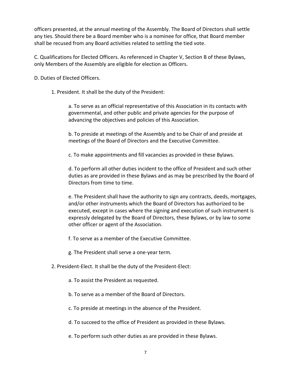officers presented, at the annual meeting of the Assembly. The Board of Directors shall settle any ties. Should there be a Board member who is a nominee for office, that Board member shall be recused from any Board activities related to settling the tied vote.

C. Qualifications for Elected Officers. As referenced in Chapter V, Section B of these Bylaws, only Members of the Assembly are eligible for election as Officers.

D. Duties of Elected Officers.

1. President. It shall be the duty of the President:

a. To serve as an official representative of this Association in its contacts with governmental, and other public and private agencies for the purpose of advancing the objectives and policies of this Association.

b. To preside at meetings of the Assembly and to be Chair of and preside at meetings of the Board of Directors and the Executive Committee.

c. To make appointments and fill vacancies as provided in these Bylaws.

d. To perform all other duties incident to the office of President and such other duties as are provided in these Bylaws and as may be prescribed by the Board of Directors from time to time.

e. The President shall have the authority to sign any contracts, deeds, mortgages, and/or other instruments which the Board of Directors has authorized to be executed, except in cases where the signing and execution of such instrument is expressly delegated by the Board of Directors, these Bylaws, or by law to some other officer or agent of the Association.

f. To serve as a member of the Executive Committee.

g. The President shall serve a one-year term.

2. President-Elect. It shall be the duty of the President-Elect:

- a. To assist the President as requested.
- b. To serve as a member of the Board of Directors.

c. To preside at meetings in the absence of the President.

d. To succeed to the office of President as provided in these Bylaws.

e. To perform such other duties as are provided in these Bylaws.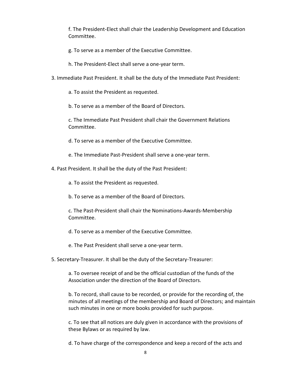f. The President-Elect shall chair the Leadership Development and Education Committee.

- g. To serve as a member of the Executive Committee.
- h. The President-Elect shall serve a one-year term.
- 3. Immediate Past President. It shall be the duty of the Immediate Past President:
	- a. To assist the President as requested.
	- b. To serve as a member of the Board of Directors.

c. The Immediate Past President shall chair the Government Relations Committee.

d. To serve as a member of the Executive Committee.

- e. The Immediate Past-President shall serve a one-year term.
- 4. Past President. It shall be the duty of the Past President:
	- a. To assist the President as requested.
	- b. To serve as a member of the Board of Directors.
	- c. The Past-President shall chair the Nominations-Awards-Membership Committee.
	- d. To serve as a member of the Executive Committee.
	- e. The Past President shall serve a one-year term.
- 5. Secretary-Treasurer. It shall be the duty of the Secretary-Treasurer:

a. To oversee receipt of and be the official custodian of the funds of the Association under the direction of the Board of Directors.

b. To record, shall cause to be recorded, or provide for the recording of, the minutes of all meetings of the membership and Board of Directors; and maintain such minutes in one or more books provided for such purpose.

c. To see that all notices are duly given in accordance with the provisions of these Bylaws or as required by law.

d. To have charge of the correspondence and keep a record of the acts and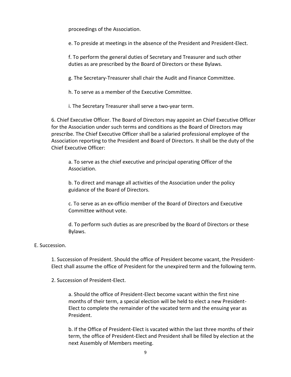proceedings of the Association.

e. To preside at meetings in the absence of the President and President-Elect.

f. To perform the general duties of Secretary and Treasurer and such other duties as are prescribed by the Board of Directors or these Bylaws.

g. The Secretary-Treasurer shall chair the Audit and Finance Committee.

h. To serve as a member of the Executive Committee.

i. The Secretary Treasurer shall serve a two-year term.

6. Chief Executive Officer. The Board of Directors may appoint an Chief Executive Officer for the Association under such terms and conditions as the Board of Directors may prescribe. The Chief Executive Officer shall be a salaried professional employee of the Association reporting to the President and Board of Directors. It shall be the duty of the Chief Executive Officer:

a. To serve as the chief executive and principal operating Officer of the Association.

b. To direct and manage all activities of the Association under the policy guidance of the Board of Directors.

c. To serve as an ex-officio member of the Board of Directors and Executive Committee without vote.

d. To perform such duties as are prescribed by the Board of Directors or these Bylaws.

#### E. Succession.

1. Succession of President. Should the office of President become vacant, the President-Elect shall assume the office of President for the unexpired term and the following term.

2. Succession of President-Elect.

a. Should the office of President-Elect become vacant within the first nine months of their term, a special election will be held to elect a new President-Elect to complete the remainder of the vacated term and the ensuing year as President.

b. If the Office of President-Elect is vacated within the last three months of their term, the office of President-Elect and President shall be filled by election at the next Assembly of Members meeting.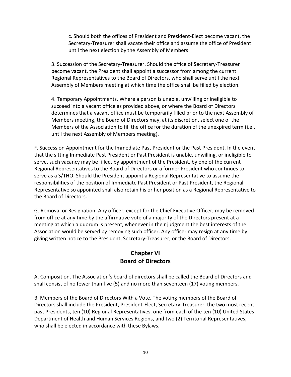c. Should both the offices of President and President-Elect become vacant, the Secretary-Treasurer shall vacate their office and assume the office of President until the next election by the Assembly of Members.

3. Succession of the Secretary-Treasurer. Should the office of Secretary-Treasurer become vacant, the President shall appoint a successor from among the current Regional Representatives to the Board of Directors, who shall serve until the next Assembly of Members meeting at which time the office shall be filled by election.

4. Temporary Appointments. Where a person is unable, unwilling or ineligible to succeed into a vacant office as provided above, or where the Board of Directors determines that a vacant office must be temporarily filled prior to the next Assembly of Members meeting, the Board of Directors may, at its discretion, select one of the Members of the Association to fill the office for the duration of the unexpired term (i.e., until the next Assembly of Members meeting).

F. Succession Appointment for the Immediate Past President or the Past President. In the event that the sitting Immediate Past President or Past President is unable, unwilling, or ineligible to serve, such vacancy may be filled, by appointment of the President, by one of the current Regional Representatives to the Board of Directors or a former President who continues to serve as a S/THO. Should the President appoint a Regional Representative to assume the responsibilities of the position of Immediate Past President or Past President, the Regional Representative so appointed shall also retain his or her position as a Regional Representative to the Board of Directors.

G. Removal or Resignation. Any officer, except for the Chief Executive Officer, may be removed from office at any time by the affirmative vote of a majority of the Directors present at a meeting at which a quorum is present, whenever in their judgment the best interests of the Association would be served by removing such officer. Any officer may resign at any time by giving written notice to the President, Secretary-Treasurer, or the Board of Directors.

#### **Chapter VI Board of Directors**

A. Composition. The Association's board of directors shall be called the Board of Directors and shall consist of no fewer than five (5) and no more than seventeen (17) voting members.

B. Members of the Board of Directors With a Vote. The voting members of the Board of Directors shall include the President, President-Elect, Secretary-Treasurer, the two most recent past Presidents, ten (10) Regional Representatives, one from each of the ten (10) United States Department of Health and Human Services Regions, and two (2) Territorial Representatives, who shall be elected in accordance with these Bylaws.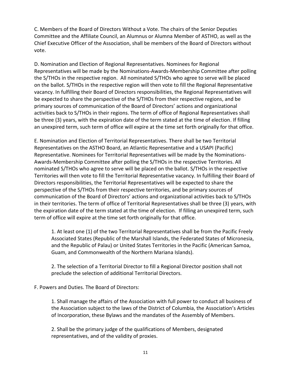C. Members of the Board of Directors Without a Vote. The chairs of the Senior Deputies Committee and the Affiliate Council, an Alumnus or Alumna Member of ASTHO, as well as the Chief Executive Officer of the Association, shall be members of the Board of Directors without vote.

D. Nomination and Election of Regional Representatives. Nominees for Regional Representatives will be made by the Nominations-Awards-Membership Committee after polling the S/THOs in the respective region. All nominated S/THOs who agree to serve will be placed on the ballot. S/THOs in the respective region will then vote to fill the Regional Representative vacancy. In fulfilling their Board of Directors responsibilities, the Regional Representatives will be expected to share the perspective of the S/THOs from their respective regions, and be primary sources of communication of the Board of Directors' actions and organizational activities back to S/THOs in their regions. The term of office of Regional Representatives shall be three (3) years, with the expiration date of the term stated at the time of election. If filling an unexpired term, such term of office will expire at the time set forth originally for that office.

E. Nomination and Election of Territorial Representatives. There shall be two Territorial Representatives on the ASTHO Board, an Atlantic Representative and a USAPI (Pacific) Representative. Nominees for Territorial Representatives will be made by the Nominations-Awards-Membership Committee after polling the S/THOs in the respective Territories. All nominated S/THOs who agree to serve will be placed on the ballot. S/THOs in the respective Territories will then vote to fill the Territorial Representative vacancy. In fulfilling their Board of Directors responsibilities, the Territorial Representatives will be expected to share the perspective of the S/THOs from their respective territories, and be primary sources of communication of the Board of Directors' actions and organizational activities back to S/THOs in their territories. The term of office of Territorial Representatives shall be three (3) years, with the expiration date of the term stated at the time of election. If filling an unexpired term, such term of office will expire at the time set forth originally for that office.

1. At least one (1) of the two Territorial Representatives shall be from the Pacific Freely Associated States (Republic of the Marshall Islands, the Federated States of Micronesia, and the Republic of Palau) or United States Territories in the Pacific (American Samoa, Guam, and Commonwealth of the Northern Mariana Islands).

2. The selection of a Territorial Director to fill a Regional Director position shall not preclude the selection of additional Territorial Directors.

F. Powers and Duties. The Board of Directors:

1. Shall manage the affairs of the Association with full power to conduct all business of the Association subject to the laws of the District of Columbia, the Association's Articles of Incorporation, these Bylaws and the mandates of the Assembly of Members.

2. Shall be the primary judge of the qualifications of Members, designated representatives, and of the validity of proxies.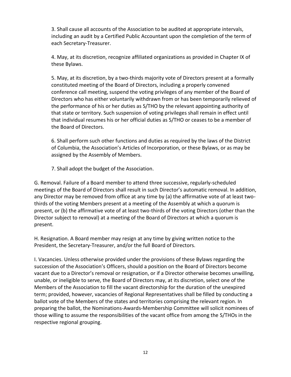3. Shall cause all accounts of the Association to be audited at appropriate intervals, including an audit by a Certified Public Accountant upon the completion of the term of each Secretary-Treasurer.

4. May, at its discretion, recognize affiliated organizations as provided in Chapter IX of these Bylaws.

5. May, at its discretion, by a two-thirds majority vote of Directors present at a formally constituted meeting of the Board of Directors, including a properly convened conference call meeting, suspend the voting privileges of any member of the Board of Directors who has either voluntarily withdrawn from or has been temporarily relieved of the performance of his or her duties as S/THO by the relevant appointing authority of that state or territory. Such suspension of voting privileges shall remain in effect until that individual resumes his or her official duties as S/THO or ceases to be a member of the Board of Directors.

6. Shall perform such other functions and duties as required by the laws of the District of Columbia, the Association's Articles of Incorporation, or these Bylaws, or as may be assigned by the Assembly of Members.

7. Shall adopt the budget of the Association.

G. Removal. Failure of a Board member to attend three successive, regularly-scheduled meetings of the Board of Directors shall result in such Director's automatic removal. In addition, any Director may be removed from office at any time by (a) the affirmative vote of at least twothirds of the voting Members present at a meeting of the Assembly at which a quorum is present, or (b) the affirmative vote of at least two-thirds of the voting Directors (other than the Director subject to removal) at a meeting of the Board of Directors at which a quorum is present.

H. Resignation. A Board member may resign at any time by giving written notice to the President, the Secretary-Treasurer, and/or the full Board of Directors.

I. Vacancies. Unless otherwise provided under the provisions of these Bylaws regarding the succession of the Association's Officers, should a position on the Board of Directors become vacant due to a Director's removal or resignation, or if a Director otherwise becomes unwilling, unable, or ineligible to serve, the Board of Directors may, at its discretion, select one of the Members of the Association to fill the vacant directorship for the duration of the unexpired term; provided, however, vacancies of Regional Representatives shall be filled by conducting a ballot vote of the Members of the states and territories comprising the relevant region. In preparing the ballot, the Nominations-Awards-Membership Committee will solicit nominees of those willing to assume the responsibilities of the vacant office from among the S/THOs in the respective regional grouping.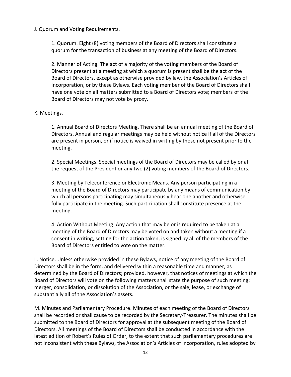J. Quorum and Voting Requirements.

1. Quorum. Eight (8) voting members of the Board of Directors shall constitute a quorum for the transaction of business at any meeting of the Board of Directors.

2. Manner of Acting. The act of a majority of the voting members of the Board of Directors present at a meeting at which a quorum is present shall be the act of the Board of Directors, except as otherwise provided by law, the Association's Articles of Incorporation, or by these Bylaws. Each voting member of the Board of Directors shall have one vote on all matters submitted to a Board of Directors vote; members of the Board of Directors may not vote by proxy.

#### K. Meetings.

1. Annual Board of Directors Meeting. There shall be an annual meeting of the Board of Directors. Annual and regular meetings may be held without notice if all of the Directors are present in person, or if notice is waived in writing by those not present prior to the meeting.

2. Special Meetings. Special meetings of the Board of Directors may be called by or at the request of the President or any two (2) voting members of the Board of Directors.

3. Meeting by Teleconference or Electronic Means. Any person participating in a meeting of the Board of Directors may participate by any means of communication by which all persons participating may simultaneously hear one another and otherwise fully participate in the meeting. Such participation shall constitute presence at the meeting.

4. Action Without Meeting. Any action that may be or is required to be taken at a meeting of the Board of Directors may be voted on and taken without a meeting if a consent in writing, setting for the action taken, is signed by all of the members of the Board of Directors entitled to vote on the matter.

L. Notice. Unless otherwise provided in these Bylaws, notice of any meeting of the Board of Directors shall be in the form, and delivered within a reasonable time and manner, as determined by the Board of Directors; provided, however, that notices of meetings at which the Board of Directors will vote on the following matters shall state the purpose of such meeting: merger, consolidation, or dissolution of the Association, or the sale, lease, or exchange of substantially all of the Association's assets.

M. Minutes and Parliamentary Procedure. Minutes of each meeting of the Board of Directors shall be recorded or shall cause to be recorded by the Secretary-Treasurer. The minutes shall be submitted to the Board of Directors for approval at the subsequent meeting of the Board of Directors. All meetings of the Board of Directors shall be conducted in accordance with the latest edition of Robert's Rules of Order, to the extent that such parliamentary procedures are not inconsistent with these Bylaws, the Association's Articles of Incorporation, rules adopted by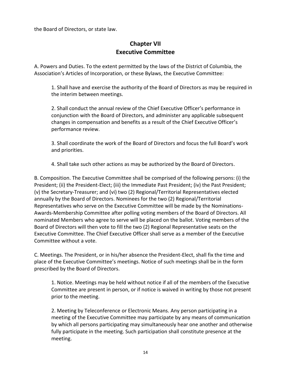the Board of Directors, or state law.

#### **Chapter VII Executive Committee**

A. Powers and Duties. To the extent permitted by the laws of the District of Columbia, the Association's Articles of Incorporation, or these Bylaws, the Executive Committee:

1. Shall have and exercise the authority of the Board of Directors as may be required in the interim between meetings.

2. Shall conduct the annual review of the Chief Executive Officer's performance in conjunction with the Board of Directors, and administer any applicable subsequent changes in compensation and benefits as a result of the Chief Executive Officer's performance review.

3. Shall coordinate the work of the Board of Directors and focus the full Board's work and priorities.

4. Shall take such other actions as may be authorized by the Board of Directors.

B. Composition. The Executive Committee shall be comprised of the following persons: (i) the President; (ii) the President-Elect; (iii) the Immediate Past President; (iv) the Past President; (v) the Secretary-Treasurer; and (vi) two (2) Regional/Territorial Representatives elected annually by the Board of Directors. Nominees for the two (2) Regional/Territorial Representatives who serve on the Executive Committee will be made by the Nominations-Awards-Membership Committee after polling voting members of the Board of Directors. All nominated Members who agree to serve will be placed on the ballot. Voting members of the Board of Directors will then vote to fill the two (2) Regional Representative seats on the Executive Committee. The Chief Executive Officer shall serve as a member of the Executive Committee without a vote.

C. Meetings. The President, or in his/her absence the President-Elect, shall fix the time and place of the Executive Committee's meetings. Notice of such meetings shall be in the form prescribed by the Board of Directors.

1. Notice. Meetings may be held without notice if all of the members of the Executive Committee are present in person, or if notice is waived in writing by those not present prior to the meeting.

2. Meeting by Teleconference or Electronic Means. Any person participating in a meeting of the Executive Committee may participate by any means of communication by which all persons participating may simultaneously hear one another and otherwise fully participate in the meeting. Such participation shall constitute presence at the meeting.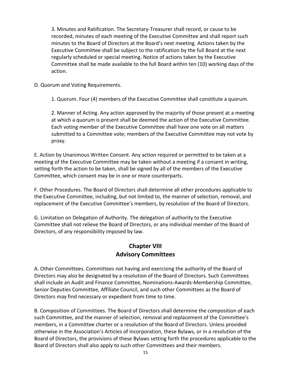3. Minutes and Ratification. The Secretary-Treasurer shall record, or cause to be recorded, minutes of each meeting of the Executive Committee and shall report such minutes to the Board of Directors at the Board's next meeting. Actions taken by the Executive Committee shall be subject to the ratification by the full Board at the next regularly scheduled or special meeting. Notice of actions taken by the Executive Committee shall be made available to the full Board within ten (10) working days of the action.

D. Quorum and Voting Requirements.

1. Quorum. Four (4) members of the Executive Committee shall constitute a quorum.

2. Manner of Acting. Any action approved by the majority of those present at a meeting at which a quorum is present shall be deemed the action of the Executive Committee. Each voting member of the Executive Committee shall have one vote on all matters submitted to a Committee vote; members of the Executive Committee may not vote by proxy.

E. Action by Unanimous Written Consent. Any action required or permitted to be taken at a meeting of the Executive Committee may be taken without a meeting if a consent in writing, setting forth the action to be taken, shall be signed by all of the members of the Executive Committee, which consent may be in one or more counterparts.

F. Other Procedures. The Board of Directors shall determine all other procedures applicable to the Executive Committee, including, but not limited to, the manner of selection, removal, and replacement of the Executive Committee's members, by resolution of the Board of Directors.

G. Limitation on Delegation of Authority. The delegation of authority to the Executive Committee shall not relieve the Board of Directors, or any individual member of the Board of Directors, of any responsibility imposed by law.

#### **Chapter VIII Advisory Committees**

A. Other Committees. Committees not having and exercising the authority of the Board of Directors may also be designated by a resolution of the Board of Directors. Such Committees shall include an Audit and Finance Committee, Nominations-Awards-Membership Committee, Senior Deputies Committee, Affiliate Council, and such other Committees as the Board of Directors may find necessary or expedient from time to time.

B. Composition of Committees. The Board of Directors shall determine the composition of each such Committee, and the manner of selection, removal and replacement of the Committee's members, in a Committee charter or a resolution of the Board of Directors. Unless provided otherwise in the Association's Articles of Incorporation, these Bylaws, or in a resolution of the Board of Directors, the provisions of these Bylaws setting forth the procedures applicable to the Board of Directors shall also apply to such other Committees and their members.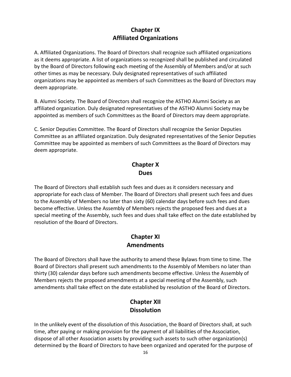#### **Chapter IX Affiliated Organizations**

A. Affiliated Organizations. The Board of Directors shall recognize such affiliated organizations as it deems appropriate. A list of organizations so recognized shall be published and circulated by the Board of Directors following each meeting of the Assembly of Members and/or at such other times as may be necessary. Duly designated representatives of such affiliated organizations may be appointed as members of such Committees as the Board of Directors may deem appropriate.

B. Alumni Society. The Board of Directors shall recognize the ASTHO Alumni Society as an affiliated organization. Duly designated representatives of the ASTHO Alumni Society may be appointed as members of such Committees as the Board of Directors may deem appropriate.

C. Senior Deputies Committee. The Board of Directors shall recognize the Senior Deputies Committee as an affiliated organization. Duly designated representatives of the Senior Deputies Committee may be appointed as members of such Committees as the Board of Directors may deem appropriate.

#### **Chapter X Dues**

The Board of Directors shall establish such fees and dues as it considers necessary and appropriate for each class of Member. The Board of Directors shall present such fees and dues to the Assembly of Members no later than sixty (60) calendar days before such fees and dues become effective. Unless the Assembly of Members rejects the proposed fees and dues at a special meeting of the Assembly, such fees and dues shall take effect on the date established by resolution of the Board of Directors.

#### **Chapter XI Amendments**

The Board of Directors shall have the authority to amend these Bylaws from time to time. The Board of Directors shall present such amendments to the Assembly of Members no later than thirty (30) calendar days before such amendments become effective. Unless the Assembly of Members rejects the proposed amendments at a special meeting of the Assembly, such amendments shall take effect on the date established by resolution of the Board of Directors.

#### **Chapter XII Dissolution**

In the unlikely event of the dissolution of this Association, the Board of Directors shall, at such time, after paying or making provision for the payment of all liabilities of the Association, dispose of all other Association assets by providing such assets to such other organization(s) determined by the Board of Directors to have been organized and operated for the purpose of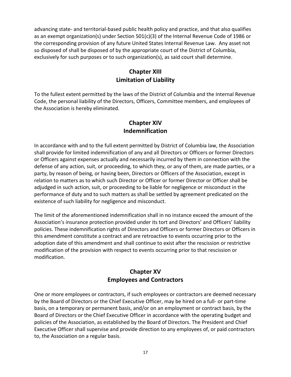advancing state- and territorial-based public health policy and practice, and that also qualifies as an exempt organization(s) under Section 501(c)(3) of the Internal Revenue Code of 1986 or the corresponding provision of any future United States Internal Revenue Law. Any asset not so disposed of shall be disposed of by the appropriate court of the District of Columbia, exclusively for such purposes or to such organization(s), as said court shall determine.

#### **Chapter XIII Limitation of Liability**

To the fullest extent permitted by the laws of the District of Columbia and the Internal Revenue Code, the personal liability of the Directors, Officers, Committee members, and employees of the Association is hereby eliminated.

#### **Chapter XIV Indemnification**

In accordance with and to the full extent permitted by District of Columbia law, the Association shall provide for limited indemnification of any and all Directors or Officers or former Directors or Officers against expenses actually and necessarily incurred by them in connection with the defense of any action, suit, or proceeding, to which they, or any of them, are made parties, or a party, by reason of being, or having been, Directors or Officers of the Association, except in relation to matters as to which such Director or Officer or former Director or Officer shall be adjudged in such action, suit, or proceeding to be liable for negligence or misconduct in the performance of duty and to such matters as shall be settled by agreement predicated on the existence of such liability for negligence and misconduct.

The limit of the aforementioned indemnification shall in no instance exceed the amount of the Association's insurance protection provided under its tort and Directors' and Officers' liability policies. These indemnification rights of Directors and Officers or former Directors or Officers in this amendment constitute a contract and are retroactive to events occurring prior to the adoption date of this amendment and shall continue to exist after the rescission or restrictive modification of the provision with respect to events occurring prior to that rescission or modification.

#### **Chapter XV Employees and Contractors**

One or more employees or contractors, if such employees or contractors are deemed necessary by the Board of Directors or the Chief Executive Officer, may be hired on a full- or part-time basis, on a temporary or permanent basis, and/or on an employment or contract basis, by the Board of Directors or the Chief Executive Officer in accordance with the operating budget and policies of the Association, as established by the Board of Directors. The President and Chief Executive Officer shall supervise and provide direction to any employees of, or paid contractors to, the Association on a regular basis.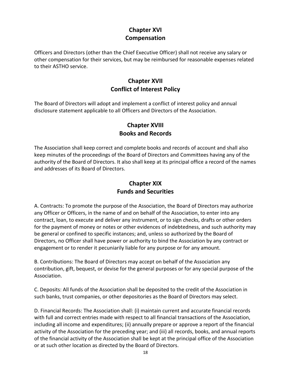## **Chapter XVI Compensation**

Officers and Directors (other than the Chief Executive Officer) shall not receive any salary or other compensation for their services, but may be reimbursed for reasonable expenses related to their ASTHO service.

## **Chapter XVII Conflict of Interest Policy**

The Board of Directors will adopt and implement a conflict of interest policy and annual disclosure statement applicable to all Officers and Directors of the Association.

#### **Chapter XVIII Books and Records**

The Association shall keep correct and complete books and records of account and shall also keep minutes of the proceedings of the Board of Directors and Committees having any of the authority of the Board of Directors. It also shall keep at its principal office a record of the names and addresses of its Board of Directors.

#### **Chapter XIX Funds and Securities**

A. Contracts: To promote the purpose of the Association, the Board of Directors may authorize any Officer or Officers, in the name of and on behalf of the Association, to enter into any contract, loan, to execute and deliver any instrument, or to sign checks, drafts or other orders for the payment of money or notes or other evidences of indebtedness, and such authority may be general or confined to specific instances; and, unless so authorized by the Board of Directors, no Officer shall have power or authority to bind the Association by any contract or engagement or to render it pecuniarily liable for any purpose or for any amount.

B. Contributions: The Board of Directors may accept on behalf of the Association any contribution, gift, bequest, or devise for the general purposes or for any special purpose of the Association.

C. Deposits: All funds of the Association shall be deposited to the credit of the Association in such banks, trust companies, or other depositories as the Board of Directors may select.

D. Financial Records: The Association shall: (i) maintain current and accurate financial records with full and correct entries made with respect to all financial transactions of the Association, including all income and expenditures; (ii) annually prepare or approve a report of the financial activity of the Association for the preceding year; and (iii) all records, books, and annual reports of the financial activity of the Association shall be kept at the principal office of the Association or at such other location as directed by the Board of Directors.